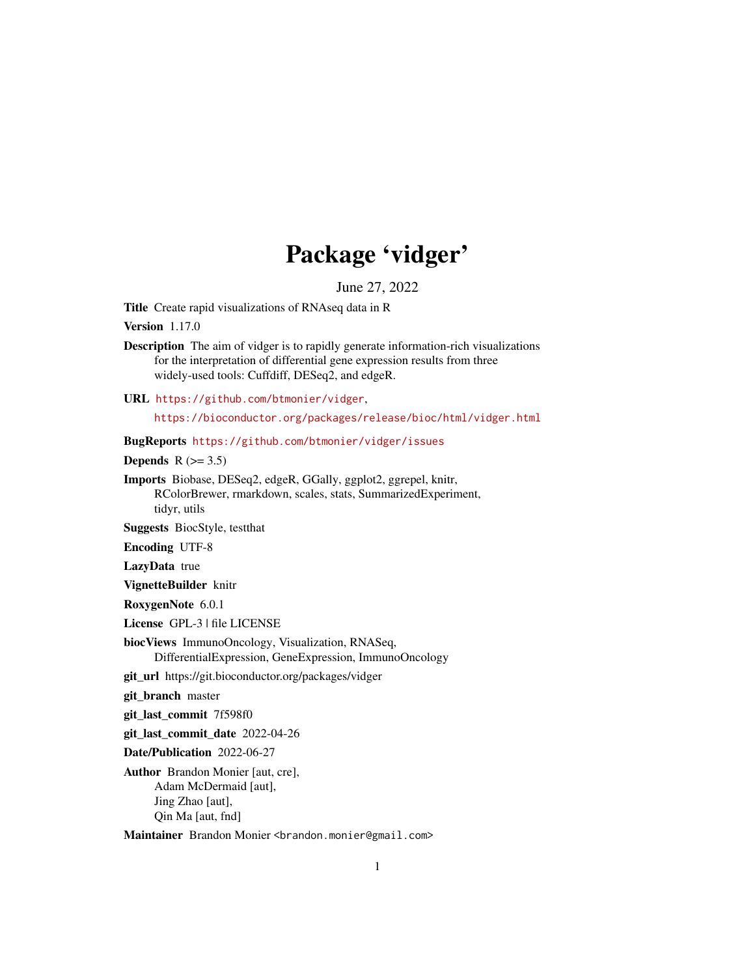# Package 'vidger'

June 27, 2022

Title Create rapid visualizations of RNAseq data in R

Version 1.17.0

Description The aim of vidger is to rapidly generate information-rich visualizations for the interpretation of differential gene expression results from three widely-used tools: Cuffdiff, DESeq2, and edgeR.

URL <https://github.com/btmonier/vidger>,

<https://bioconductor.org/packages/release/bioc/html/vidger.html>

BugReports <https://github.com/btmonier/vidger/issues>

Depends  $R$  ( $>= 3.5$ )

Imports Biobase, DESeq2, edgeR, GGally, ggplot2, ggrepel, knitr, RColorBrewer, rmarkdown, scales, stats, SummarizedExperiment, tidyr, utils

Suggests BiocStyle, testthat

Encoding UTF-8

LazyData true

VignetteBuilder knitr

RoxygenNote 6.0.1

License GPL-3 | file LICENSE

biocViews ImmunoOncology, Visualization, RNASeq, DifferentialExpression, GeneExpression, ImmunoOncology

git\_url https://git.bioconductor.org/packages/vidger

git\_branch master

git\_last\_commit 7f598f0

git\_last\_commit\_date 2022-04-26

Date/Publication 2022-06-27

Author Brandon Monier [aut, cre], Adam McDermaid [aut], Jing Zhao [aut], Qin Ma [aut, fnd]

Maintainer Brandon Monier <br andon.monier@gmail.com>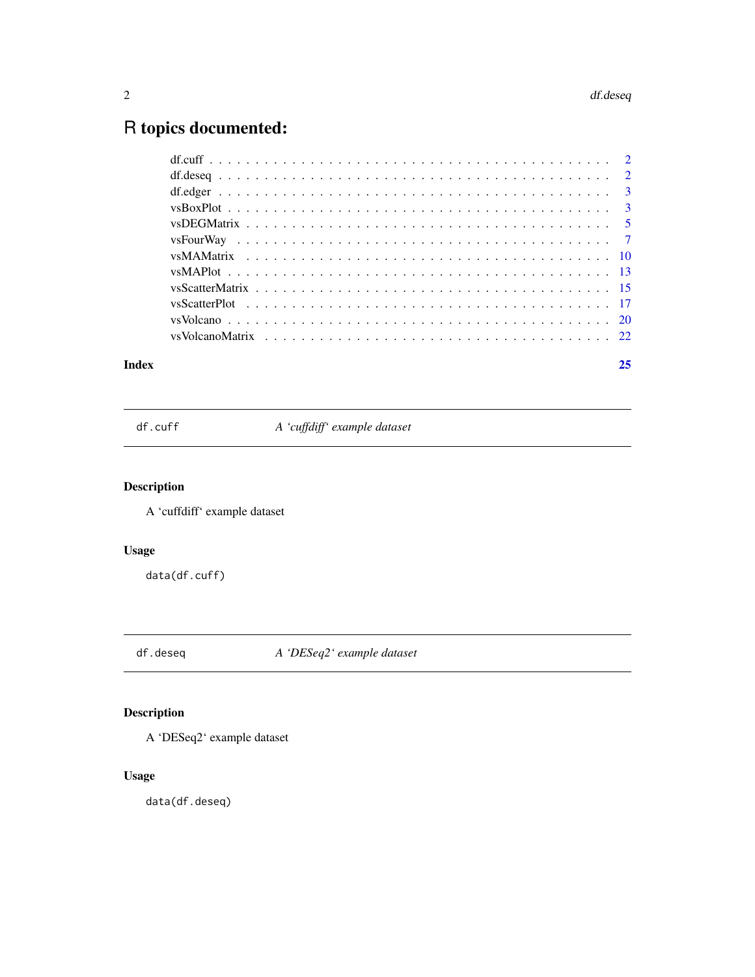## <span id="page-1-0"></span>R topics documented:

| Index | 25 |
|-------|----|
|       |    |
|       |    |
|       |    |
|       |    |
|       |    |
|       |    |
|       |    |
|       |    |
|       |    |
|       |    |
|       |    |
|       |    |

df.cuff *A 'cuffdiff' example dataset*

#### Description

A 'cuffdiff' example dataset

#### Usage

data(df.cuff)

df.deseq *A 'DESeq2' example dataset*

#### Description

A 'DESeq2' example dataset

#### Usage

data(df.deseq)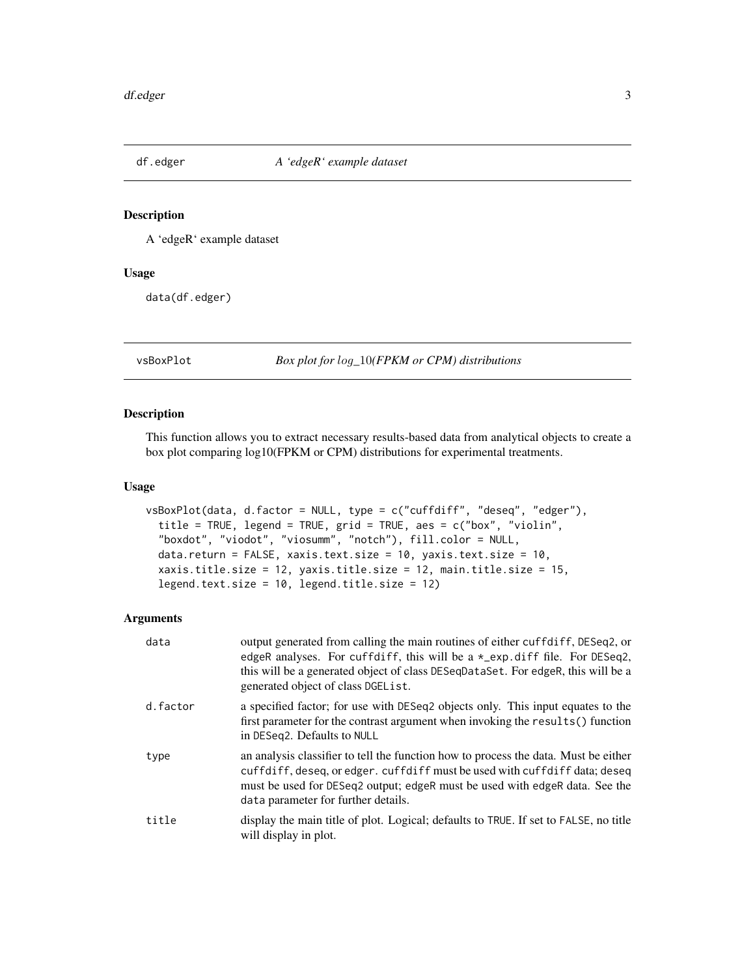<span id="page-2-0"></span>

#### Description

A 'edgeR' example dataset

#### Usage

data(df.edger)

vsBoxPlot *Box plot for* log*\_*10*(FPKM or CPM) distributions*

#### Description

This function allows you to extract necessary results-based data from analytical objects to create a box plot comparing log10(FPKM or CPM) distributions for experimental treatments.

#### Usage

```
vsBoxPlot(data, d.factor = NULL, type = c("cuffdiff", "deseq", "edger"),
  title = TRUE, legend = TRUE, grid = TRUE, aes = c("box", "violin",
 "boxdot", "viodot", "viosumm", "notch"), fill.color = NULL,
 data.return = FALSE, xaxis.text.size = 10, yaxis.text.size = 10,
 xaxis.title.size = 12, yaxis.title.size = 12, main.title.size = 15,
  legend.text.size = 10, legend.title.size = 12)
```

| data     | output generated from calling the main routines of either cuffdiff, DESeq2, or<br>edgeR analyses. For cuffdiff, this will be a $\star$ _exp.diff file. For DESeq2,<br>this will be a generated object of class DESeqDataSet. For edgeR, this will be a<br>generated object of class DGEL ist. |
|----------|-----------------------------------------------------------------------------------------------------------------------------------------------------------------------------------------------------------------------------------------------------------------------------------------------|
| d.factor | a specified factor; for use with DESeq2 objects only. This input equates to the<br>first parameter for the contrast argument when invoking the results () function<br>in DESeq2. Defaults to NULL                                                                                             |
| type     | an analysis classifier to tell the function how to process the data. Must be either<br>cuffdiff, deseq, or edger. cuffdiff must be used with cuffdiff data; deseq<br>must be used for DESeq2 output; edgeR must be used with edgeR data. See the<br>data parameter for further details.       |
| title    | display the main title of plot. Logical; defaults to TRUE. If set to FALSE, no title<br>will display in plot.                                                                                                                                                                                 |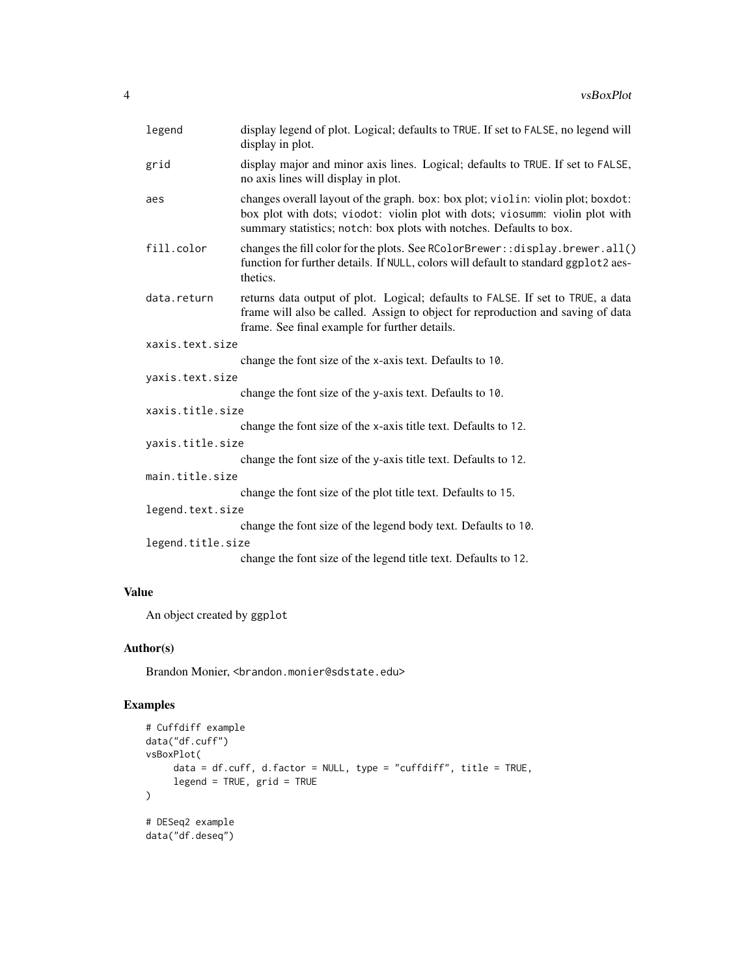|              | legend            | display legend of plot. Logical; defaults to TRUE. If set to FALSE, no legend will<br>display in plot.                                                                                                                                  |
|--------------|-------------------|-----------------------------------------------------------------------------------------------------------------------------------------------------------------------------------------------------------------------------------------|
|              | grid              | display major and minor axis lines. Logical; defaults to TRUE. If set to FALSE,<br>no axis lines will display in plot.                                                                                                                  |
|              | aes               | changes overall layout of the graph. box: box plot; violin: violin plot; boxdot:<br>box plot with dots; viodot: violin plot with dots; viosumm: violin plot with<br>summary statistics; notch: box plots with notches. Defaults to box. |
|              | fill.color        | changes the fill color for the plots. See RColorBrewer:: display.brewer.all()<br>function for further details. If NULL, colors will default to standard ggplot2 aes-<br>thetics.                                                        |
|              | data.return       | returns data output of plot. Logical; defaults to FALSE. If set to TRUE, a data<br>frame will also be called. Assign to object for reproduction and saving of data<br>frame. See final example for further details.                     |
|              | xaxis.text.size   |                                                                                                                                                                                                                                         |
|              |                   | change the font size of the x-axis text. Defaults to 10.                                                                                                                                                                                |
|              | yaxis.text.size   |                                                                                                                                                                                                                                         |
|              |                   | change the font size of the y-axis text. Defaults to 10.                                                                                                                                                                                |
|              | xaxis.title.size  |                                                                                                                                                                                                                                         |
|              |                   | change the font size of the x-axis title text. Defaults to 12.                                                                                                                                                                          |
|              | yaxis.title.size  |                                                                                                                                                                                                                                         |
|              |                   | change the font size of the y-axis title text. Defaults to 12.                                                                                                                                                                          |
|              | main.title.size   |                                                                                                                                                                                                                                         |
|              |                   | change the font size of the plot title text. Defaults to 15.                                                                                                                                                                            |
|              | legend.text.size  |                                                                                                                                                                                                                                         |
|              |                   | change the font size of the legend body text. Defaults to 10.                                                                                                                                                                           |
|              | legend.title.size |                                                                                                                                                                                                                                         |
|              |                   | change the font size of the legend title text. Defaults to 12.                                                                                                                                                                          |
| <b>Value</b> |                   |                                                                                                                                                                                                                                         |

An object created by ggplot

#### Author(s)

Brandon Monier, <br />brandon.monier@sdstate.edu>

```
# Cuffdiff example
data("df.cuff")
vsBoxPlot(
     data = df.cuff, d.factor = NULL, type = "cuffdiff", title = TRUE,
     legend = TRUE, grid = TRUE
\mathcal{L}# DESeq2 example
data("df.deseq")
```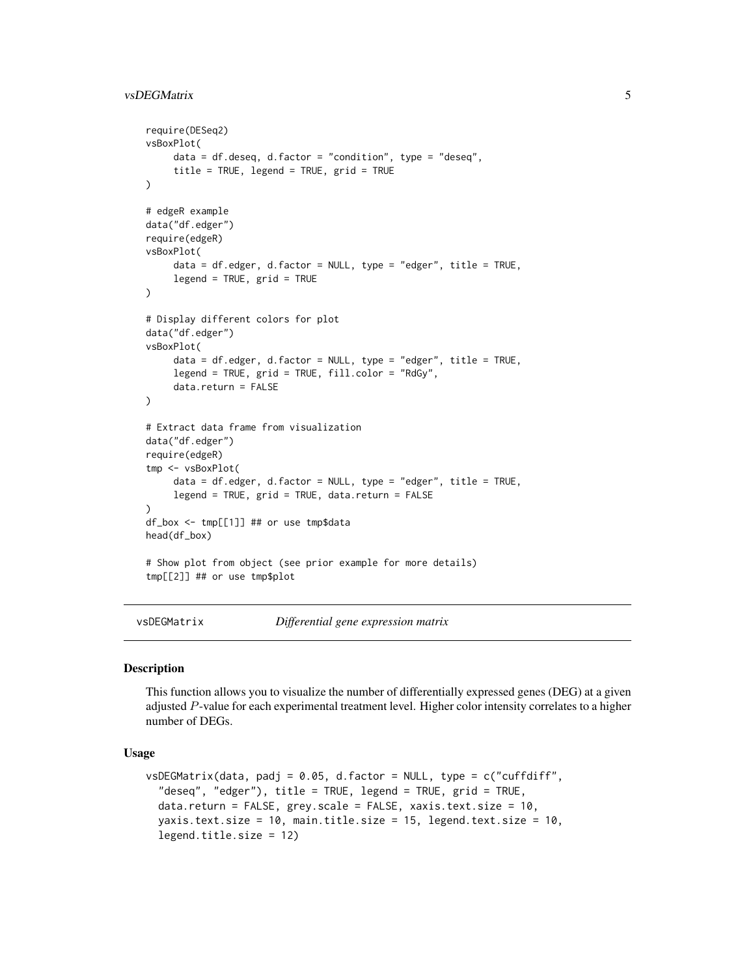#### <span id="page-4-0"></span>vsDEGMatrix 5

```
require(DESeq2)
vsBoxPlot(
     data = df.deseq, d.factor = "condition", type = "deseq",
     title = TRUE, legend = TRUE, grid = TRUE
)
# edgeR example
data("df.edger")
require(edgeR)
vsBoxPlot(
     data = df.edger, d.factor = NULL, type = "edger", title = TRUE,
     legend = TRUE, grid = TRUE
)
# Display different colors for plot
data("df.edger")
vsBoxPlot(
     data = df.edger, d.factor = NULL, type = "edger", title = TRUE,
     legend = TRUE, grid = TRUE, fill.color = "RdGy",
     data.return = FALSE
)
# Extract data frame from visualization
data("df.edger")
require(edgeR)
tmp <- vsBoxPlot(
     data = df.edger, d.factor = NULL, type = "edger", title = TRUE,
     legend = TRUE, grid = TRUE, data.return = FALSE
)
df_box <- tmp[[1]] ## or use tmp$data
head(df_box)
# Show plot from object (see prior example for more details)
tmp[[2]] ## or use tmp$plot
```
vsDEGMatrix *Differential gene expression matrix*

#### Description

This function allows you to visualize the number of differentially expressed genes (DEG) at a given adjusted P-value for each experimental treatment level. Higher color intensity correlates to a higher number of DEGs.

#### Usage

```
vsDEGMatrix(data, padj = 0.05, d.factor = NULL, type = c("cuffdiff","deseq", "edger"), title = TRUE, legend = TRUE, grid = TRUE,
  data.return = FALSE, grey.scale = FALSE, xaxis.text.size = 10,
  yaxis.text.size = 10, main.title.size = 15, legend.text.size = 10,
  legend.title.size = 12)
```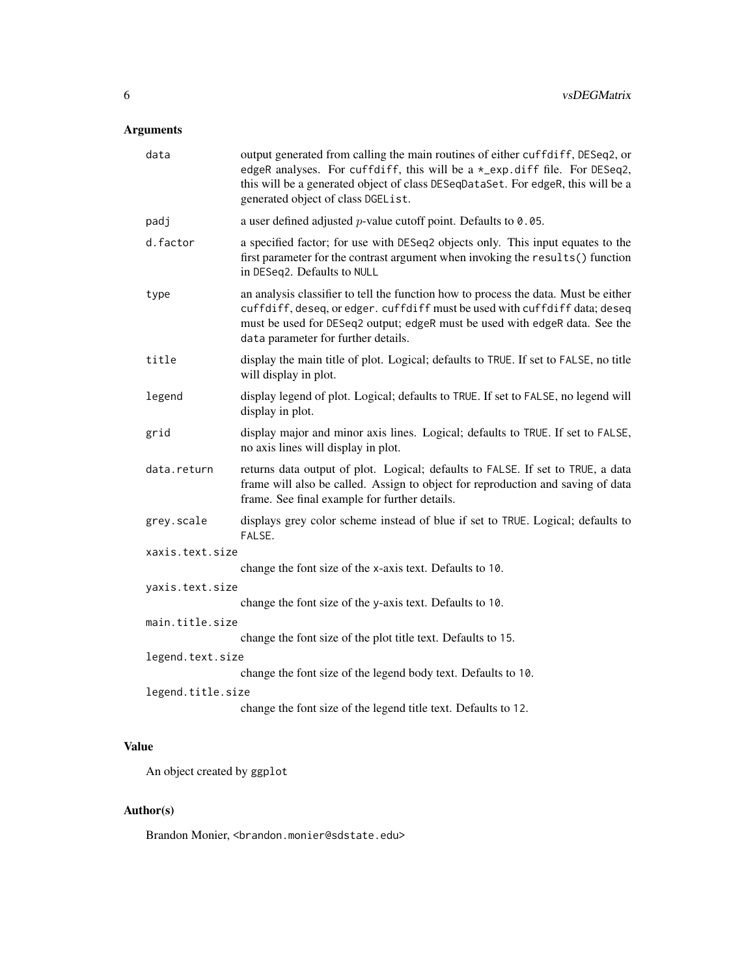#### Arguments

| data              | output generated from calling the main routines of either cuffdiff, DESeq2, or<br>edgeR analyses. For cuffdiff, this will be a *_exp.diff file. For DESeq2,<br>this will be a generated object of class DESeqDataSet. For edgeR, this will be a<br>generated object of class DGEList.   |
|-------------------|-----------------------------------------------------------------------------------------------------------------------------------------------------------------------------------------------------------------------------------------------------------------------------------------|
| padj              | a user defined adjusted $p$ -value cutoff point. Defaults to 0.05.                                                                                                                                                                                                                      |
| d.factor          | a specified factor; for use with DESeq2 objects only. This input equates to the<br>first parameter for the contrast argument when invoking the results() function<br>in DESeq2. Defaults to NULL                                                                                        |
| type              | an analysis classifier to tell the function how to process the data. Must be either<br>cuffdiff, deseq, or edger. cuffdiff must be used with cuffdiff data; deseq<br>must be used for DESeq2 output; edgeR must be used with edgeR data. See the<br>data parameter for further details. |
| title             | display the main title of plot. Logical; defaults to TRUE. If set to FALSE, no title<br>will display in plot.                                                                                                                                                                           |
| legend            | display legend of plot. Logical; defaults to TRUE. If set to FALSE, no legend will<br>display in plot.                                                                                                                                                                                  |
| grid              | display major and minor axis lines. Logical; defaults to TRUE. If set to FALSE,<br>no axis lines will display in plot.                                                                                                                                                                  |
| data.return       | returns data output of plot. Logical; defaults to FALSE. If set to TRUE, a data<br>frame will also be called. Assign to object for reproduction and saving of data<br>frame. See final example for further details.                                                                     |
| grey.scale        | displays grey color scheme instead of blue if set to TRUE. Logical; defaults to<br>FALSE.                                                                                                                                                                                               |
| xaxis.text.size   |                                                                                                                                                                                                                                                                                         |
|                   | change the font size of the x-axis text. Defaults to 10.                                                                                                                                                                                                                                |
| yaxis.text.size   | change the font size of the y-axis text. Defaults to 10.                                                                                                                                                                                                                                |
| main.title.size   |                                                                                                                                                                                                                                                                                         |
|                   | change the font size of the plot title text. Defaults to 15.                                                                                                                                                                                                                            |
| legend.text.size  |                                                                                                                                                                                                                                                                                         |
|                   | change the font size of the legend body text. Defaults to 10.                                                                                                                                                                                                                           |
| legend.title.size |                                                                                                                                                                                                                                                                                         |
|                   | change the font size of the legend title text. Defaults to 12.                                                                                                                                                                                                                          |

#### Value

An object created by ggplot

### Author(s)

Brandon Monier, <br />brandon.monier@sdstate.edu>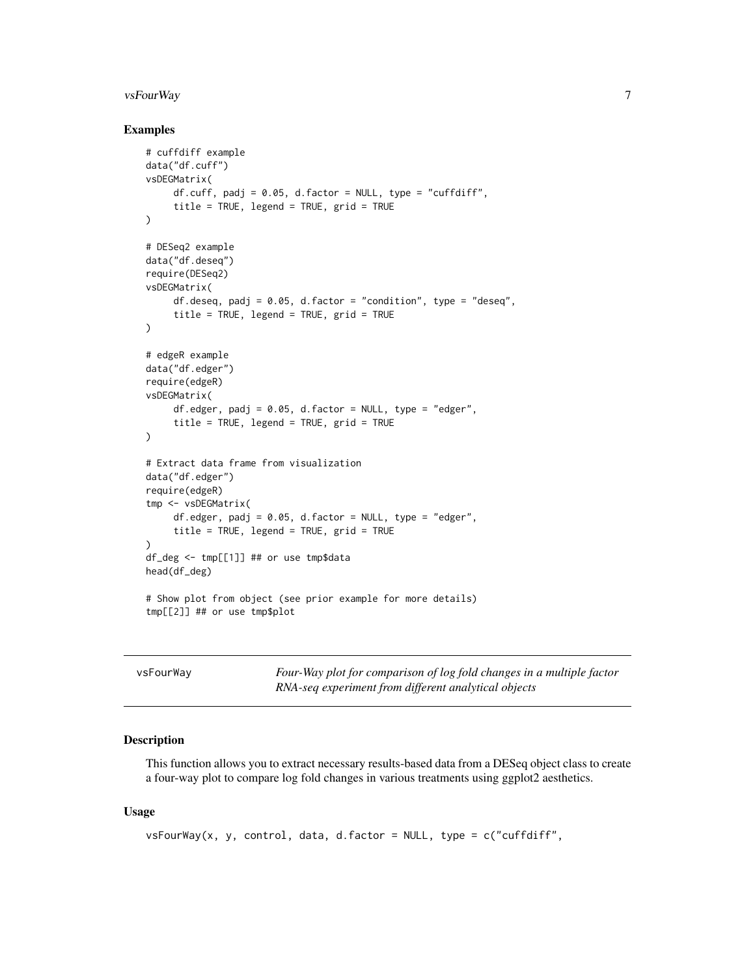#### <span id="page-6-0"></span>vsFourWay 7

#### Examples

```
# cuffdiff example
data("df.cuff")
vsDEGMatrix(
     df.cuff, padj = 0.05, d.factor = NULL, type = "cuffdiff",
     title = TRUE, legend = TRUE, grid = TRUE
)
# DESeq2 example
data("df.deseq")
require(DESeq2)
vsDEGMatrix(
     df.deseq, padj = 0.05, d.factor = "condition", type = "deseq",
     title = TRUE, legend = TRUE, grid = TRUE
\lambda# edgeR example
data("df.edger")
require(edgeR)
vsDEGMatrix(
     df.edger, padj = 0.05, d.factor = NULL, type = "edger",
     title = TRUE, legend = TRUE, grid = TRUE)
# Extract data frame from visualization
data("df.edger")
require(edgeR)
tmp <- vsDEGMatrix(
     df.edger, padj = 0.05, d.factor = NULL, type = "edger",
     title = TRUE, legend = TRUE, grid = TRUE
\lambdadf_deg <- tmp[[1]] ## or use tmp$data
head(df_deg)
# Show plot from object (see prior example for more details)
tmp[[2]] ## or use tmp$plot
```

| vsFourWay | Four-Way plot for comparison of log fold changes in a multiple factor |
|-----------|-----------------------------------------------------------------------|
|           | RNA-seq experiment from different analytical objects                  |

#### Description

This function allows you to extract necessary results-based data from a DESeq object class to create a four-way plot to compare log fold changes in various treatments using ggplot2 aesthetics.

#### Usage

```
vsFourWay(x, y, control, data, d.factor = NULL, type = c("cuffdiff",
```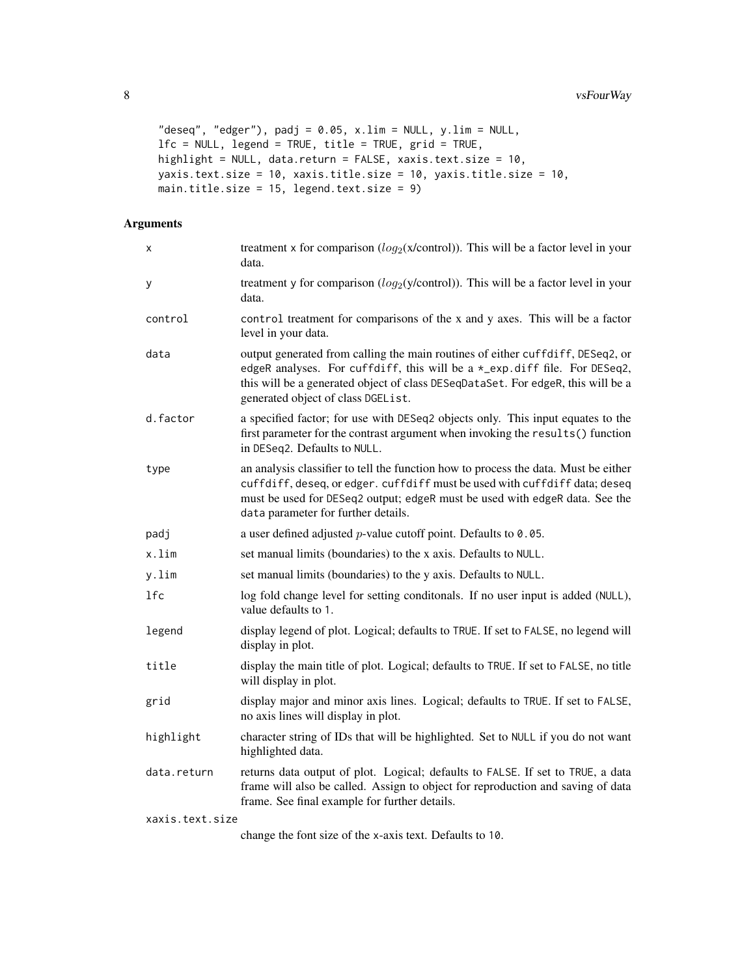```
"deseq", "edger"), padj = 0.05, x.lim = NULL, y.lim = NULL,
lfc = NULL, legend = TRUE, title = TRUE, grid = TRUE,
highlight = NULL, data.return = FALSE, xaxis.text.size = 10,
yaxis.text.size = 10, xaxis.title.size = 10, yaxis.title.size = 10,
main.title.size = 15, legend.text.size = 9)
```

| х               | treatment x for comparison $(log_2(x/control))$ . This will be a factor level in your<br>data.                                                                                                                                                                                          |
|-----------------|-----------------------------------------------------------------------------------------------------------------------------------------------------------------------------------------------------------------------------------------------------------------------------------------|
| У               | treatment y for comparison $(log_2(y/control))$ . This will be a factor level in your<br>data.                                                                                                                                                                                          |
| control         | control treatment for comparisons of the x and y axes. This will be a factor<br>level in your data.                                                                                                                                                                                     |
| data            | output generated from calling the main routines of either cuffdiff, DESeq2, or<br>edgeR analyses. For cuffdiff, this will be a *_exp.diff file. For DESeq2,<br>this will be a generated object of class DESeqDataSet. For edgeR, this will be a<br>generated object of class DGEList.   |
| d.factor        | a specified factor; for use with DESeq2 objects only. This input equates to the<br>first parameter for the contrast argument when invoking the results() function<br>in DESeq2. Defaults to NULL.                                                                                       |
| type            | an analysis classifier to tell the function how to process the data. Must be either<br>cuffdiff, deseq, or edger. cuffdiff must be used with cuffdiff data; deseq<br>must be used for DESeq2 output; edgeR must be used with edgeR data. See the<br>data parameter for further details. |
| padj            | a user defined adjusted $p$ -value cutoff point. Defaults to 0.05.                                                                                                                                                                                                                      |
| x.lim           | set manual limits (boundaries) to the x axis. Defaults to NULL.                                                                                                                                                                                                                         |
| y.lim           | set manual limits (boundaries) to the y axis. Defaults to NULL.                                                                                                                                                                                                                         |
| 1fc             | log fold change level for setting conditonals. If no user input is added (NULL),<br>value defaults to 1.                                                                                                                                                                                |
| legend          | display legend of plot. Logical; defaults to TRUE. If set to FALSE, no legend will<br>display in plot.                                                                                                                                                                                  |
| title           | display the main title of plot. Logical; defaults to TRUE. If set to FALSE, no title<br>will display in plot.                                                                                                                                                                           |
| grid            | display major and minor axis lines. Logical; defaults to TRUE. If set to FALSE,<br>no axis lines will display in plot.                                                                                                                                                                  |
| highlight       | character string of IDs that will be highlighted. Set to NULL if you do not want<br>highlighted data.                                                                                                                                                                                   |
| data.return     | returns data output of plot. Logical; defaults to FALSE. If set to TRUE, a data<br>frame will also be called. Assign to object for reproduction and saving of data<br>frame. See final example for further details.                                                                     |
| xaxis.text.size |                                                                                                                                                                                                                                                                                         |
|                 | change the font size of the x-axis text. Defaults to 10.                                                                                                                                                                                                                                |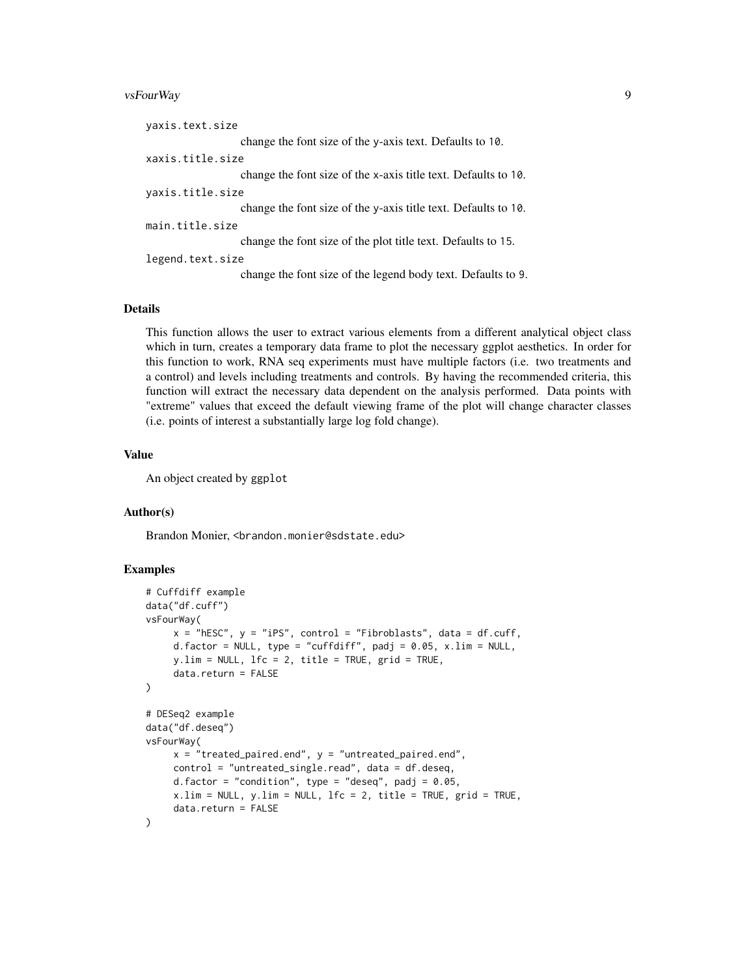#### vsFourWay 9

| yaxis.text.size  |                                                                |  |
|------------------|----------------------------------------------------------------|--|
|                  | change the font size of the y-axis text. Defaults to 10.       |  |
| xaxis.title.size |                                                                |  |
|                  | change the font size of the x-axis title text. Defaults to 10. |  |
| yaxis.title.size |                                                                |  |
|                  | change the font size of the y-axis title text. Defaults to 10. |  |
| main.title.size  |                                                                |  |
|                  | change the font size of the plot title text. Defaults to 15.   |  |
| legend.text.size |                                                                |  |
|                  | change the font size of the legend body text. Defaults to 9.   |  |
|                  |                                                                |  |

#### Details

This function allows the user to extract various elements from a different analytical object class which in turn, creates a temporary data frame to plot the necessary ggplot aesthetics. In order for this function to work, RNA seq experiments must have multiple factors (i.e. two treatments and a control) and levels including treatments and controls. By having the recommended criteria, this function will extract the necessary data dependent on the analysis performed. Data points with "extreme" values that exceed the default viewing frame of the plot will change character classes (i.e. points of interest a substantially large log fold change).

#### Value

An object created by ggplot

#### Author(s)

Brandon Monier, <br andon.monier@sdstate.edu>

```
# Cuffdiff example
data("df.cuff")
vsFourWay(
    x = "hESC", y = "iPS", control = "Fibroblasts", data = df.cuff,
     d.factor = NULL, type = "cuffdiff", padj = 0.05, x.lim = NULL,
    y.lim = NULL, lfc = 2, title = TRUE, grid = TRUE,
     data.return = FALSE
)
# DESeq2 example
data("df.deseq")
vsFourWay(
    x = "treated_paired.end", y = "untreated_paired.end",
     control = "untreated_single.read", data = df.deseq,
     d.factor = "condition", type = "deseq", padj = 0.05,
     x.lim = NULL, y.lim = NULL, lfc = 2, title = TRUE, grid = TRUE,
     data.return = FALSE
)
```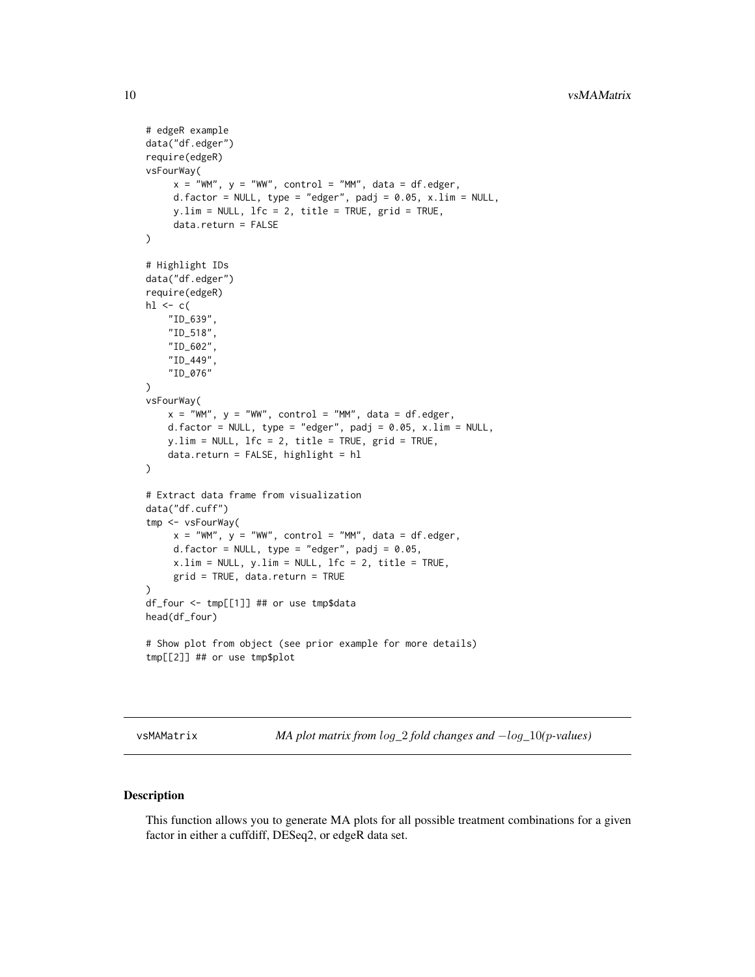```
# edgeR example
data("df.edger")
require(edgeR)
vsFourWay(
     x = "WM", y = "WW", control = "MM", data = df. edge;d.factor = NULL, type = "edger", padj = 0.05, x.lim = NULL,
     y.lim = NULL, lfc = 2, title = TRUE, grid = TRUE,
     data.return = FALSE
)
# Highlight IDs
data("df.edger")
require(edgeR)
h1 \leftarrow c("ID_639",
    "ID_518",
    "ID_602",
    "ID_449",
    "ID_076"
)
vsFourWay(
   x = "WM", y = "WW", control = "MM", data = df. edge,d.factor = NULL, type = "edger", padj = 0.05, x.lim = NULL,
   y.lim = NULL, lfc = 2, title = TRUE, grid = TRUE,
    data.return = FALSE, highlight = hl
)
# Extract data frame from visualization
data("df.cuff")
tmp <- vsFourWay(
     x = "WM", y = "WW", control = "MM", data = df. edger,d.factor = NULL, type = "edger", padj = 0.05,
     x.lim = NULL, y.lim = NULL, 1fc = 2, title = TRUE,
     grid = TRUE, data.return = TRUE
\lambdadf_four <- tmp[[1]] ## or use tmp$data
head(df_four)
# Show plot from object (see prior example for more details)
tmp[[2]] ## or use tmp$plot
```
vsMAMatrix *MA plot matrix from* log*\_*2 *fold changes and* −log*\_*10*(*p*-values)*

#### Description

This function allows you to generate MA plots for all possible treatment combinations for a given factor in either a cuffdiff, DESeq2, or edgeR data set.

<span id="page-9-0"></span>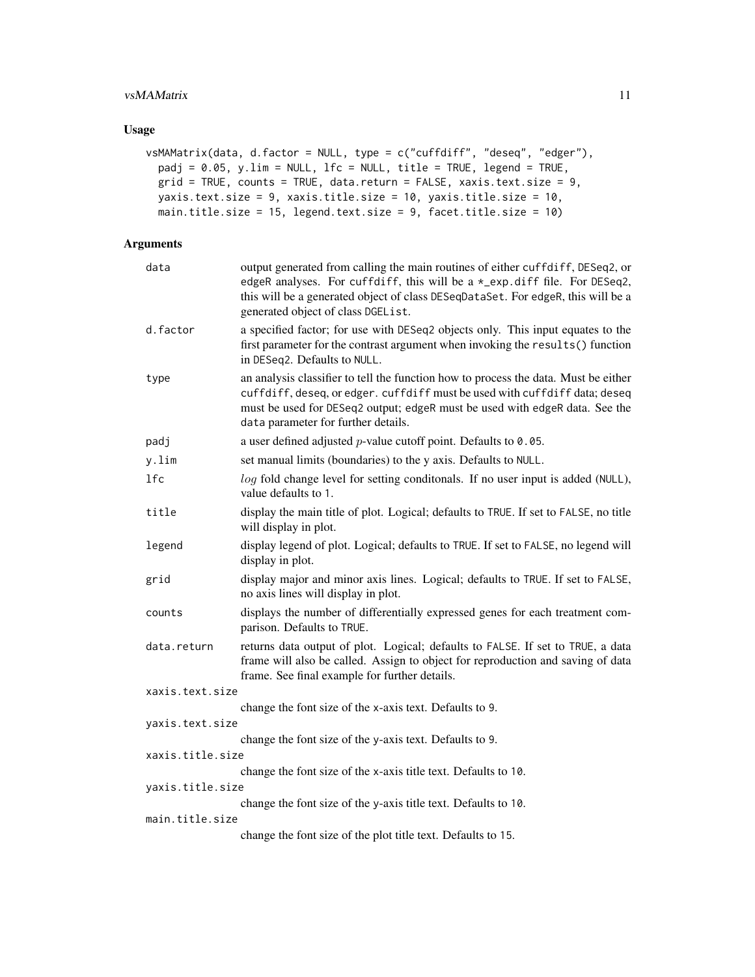#### vsMAMatrix 11

#### Usage

```
vsMAMatrix(data, d.factor = NULL, type = c("cuffdiff", "deseq", "edger"),
 padj = 0.05, y.lim = NULL, lfc = NULL, title = TRUE, legend = TRUE,
 grid = TRUE, counts = TRUE, data.return = FALSE, xaxis.text.size = 9,
 yaxis.text.size = 9, xaxis.title.size = 10, yaxis.title.size = 10,
 main.title.size = 15, legend.text.size = 9, facet.title.size = 10)
```

| data             | output generated from calling the main routines of either cuffdiff, DESeq2, or<br>edgeR analyses. For cuffdiff, this will be a *_exp.diff file. For DESeq2,<br>this will be a generated object of class DESeqDataSet. For edgeR, this will be a<br>generated object of class DGEList.   |
|------------------|-----------------------------------------------------------------------------------------------------------------------------------------------------------------------------------------------------------------------------------------------------------------------------------------|
| d.factor         | a specified factor; for use with DESeq2 objects only. This input equates to the<br>first parameter for the contrast argument when invoking the results() function<br>in DESeq2. Defaults to NULL.                                                                                       |
| type             | an analysis classifier to tell the function how to process the data. Must be either<br>cuffdiff, deseq, or edger. cuffdiff must be used with cuffdiff data; deseq<br>must be used for DESeq2 output; edgeR must be used with edgeR data. See the<br>data parameter for further details. |
| padj             | a user defined adjusted $p$ -value cutoff point. Defaults to 0.05.                                                                                                                                                                                                                      |
| y.lim            | set manual limits (boundaries) to the y axis. Defaults to NULL.                                                                                                                                                                                                                         |
| 1fc              | log fold change level for setting conditonals. If no user input is added (NULL),<br>value defaults to 1.                                                                                                                                                                                |
| title            | display the main title of plot. Logical; defaults to TRUE. If set to FALSE, no title<br>will display in plot.                                                                                                                                                                           |
| legend           | display legend of plot. Logical; defaults to TRUE. If set to FALSE, no legend will<br>display in plot.                                                                                                                                                                                  |
| grid             | display major and minor axis lines. Logical; defaults to TRUE. If set to FALSE,<br>no axis lines will display in plot.                                                                                                                                                                  |
| counts           | displays the number of differentially expressed genes for each treatment com-<br>parison. Defaults to TRUE.                                                                                                                                                                             |
| data.return      | returns data output of plot. Logical; defaults to FALSE. If set to TRUE, a data<br>frame will also be called. Assign to object for reproduction and saving of data<br>frame. See final example for further details.                                                                     |
| xaxis.text.size  |                                                                                                                                                                                                                                                                                         |
|                  | change the font size of the x-axis text. Defaults to 9.                                                                                                                                                                                                                                 |
| yaxis.text.size  |                                                                                                                                                                                                                                                                                         |
|                  | change the font size of the y-axis text. Defaults to 9.                                                                                                                                                                                                                                 |
| xaxis.title.size | change the font size of the x-axis title text. Defaults to 10.                                                                                                                                                                                                                          |
| yaxis.title.size |                                                                                                                                                                                                                                                                                         |
|                  | change the font size of the y-axis title text. Defaults to 10.                                                                                                                                                                                                                          |
| main.title.size  |                                                                                                                                                                                                                                                                                         |
|                  | change the font size of the plot title text. Defaults to 15.                                                                                                                                                                                                                            |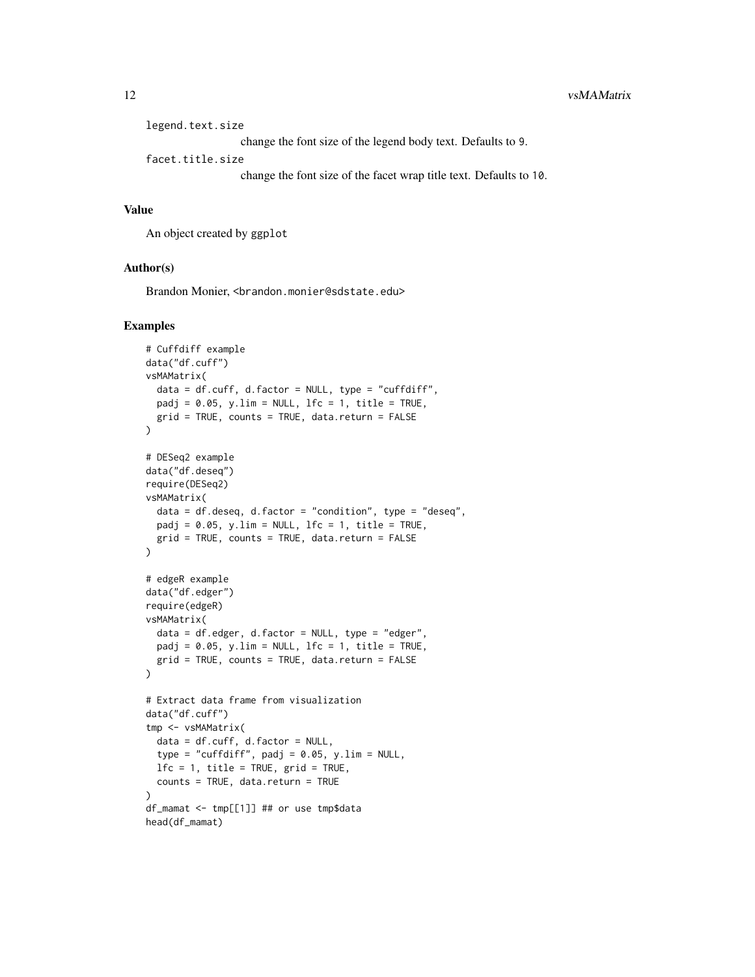| legend.text.size                                                   |  |  |
|--------------------------------------------------------------------|--|--|
| change the font size of the legend body text. Defaults to 9.       |  |  |
| facet.title.size                                                   |  |  |
| change the font size of the facet wrap title text. Defaults to 10. |  |  |

#### Value

An object created by ggplot

#### Author(s)

Brandon Monier, <brandon.monier@sdstate.edu>

```
# Cuffdiff example
data("df.cuff")
vsMAMatrix(
  data = df.cuff, d.factor = NULL, type = "cuffdiff",
  padj = 0.05, y.lim = NULL, 1fc = 1, title = TRUE,
  grid = TRUE, counts = TRUE, data. return = FALSE)
# DESeq2 example
data("df.deseq")
require(DESeq2)
vsMAMatrix(
 data = df.deseq, d.factor = "condition", type = "deseq",
 padj = 0.05, y.lim = NULL, lfc = 1, title = TRUE,
 grid = TRUE, counts = TRUE, data.return = FALSE
\lambda# edgeR example
data("df.edger")
require(edgeR)
vsMAMatrix(
  data = df.edger, d.factor = NULL, type = "edger",
  padj = 0.05, y.lim = NULL, 1fc = 1, title = TRUE,
  grid = TRUE, counts = TRUE, data.return = FALSE
)
# Extract data frame from visualization
data("df.cuff")
tmp <- vsMAMatrix(
  data = df.cuff, d.factor = NULL,type = "cuffdiff", padj = 0.05, y.lim = NULL,
  1fc = 1, title = TRUE, grid = TRUE,
  counts = TRUE, data.return = TRUE
)
df_mamat <- tmp[[1]] ## or use tmp$data
head(df_mamat)
```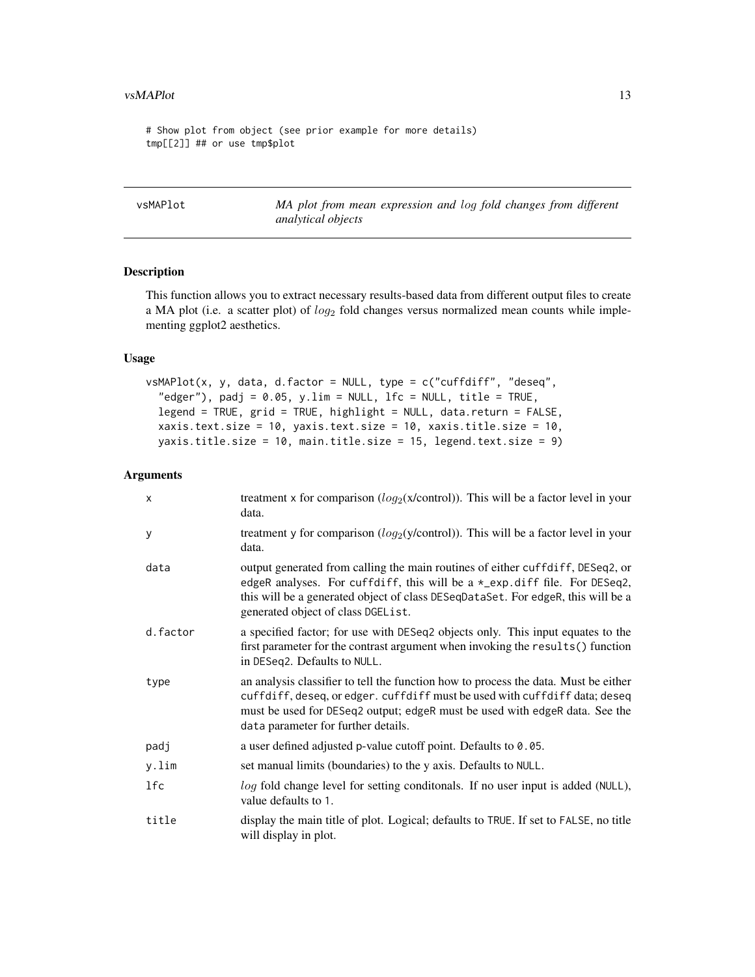<span id="page-12-0"></span># Show plot from object (see prior example for more details) tmp[[2]] ## or use tmp\$plot

vsMAPlot *MA plot from mean expression and* log *fold changes from different analytical objects*

#### Description

This function allows you to extract necessary results-based data from different output files to create a MA plot (i.e. a scatter plot) of  $log_2$  fold changes versus normalized mean counts while implementing ggplot2 aesthetics.

#### Usage

```
vsMAPlot(x, y, data, d.factor = NULL, type = c("cuffdiff", "deseq",
  "edger"), padj = 0.05, y.lim = NULL, 1fc = NULL, title = TRUE,
  legend = TRUE, grid = TRUE, highlight = NULL, data.return = FALSE,
  xaxis.text.size = 10, yaxis.text.size = 10, xaxis.title.size = 10,
 yaxis.title.size = 10, main.title.size = 15, legend.text.size = 9)
```

| X        | treatment x for comparison $(log_2(x/control))$ . This will be a factor level in your<br>data.                                                                                                                                                                                          |
|----------|-----------------------------------------------------------------------------------------------------------------------------------------------------------------------------------------------------------------------------------------------------------------------------------------|
| y        | treatment y for comparison $(log_2(y/control))$ . This will be a factor level in your<br>data.                                                                                                                                                                                          |
| data     | output generated from calling the main routines of either cuffdiff, DESeq2, or<br>edgeR analyses. For cuffdiff, this will be a *_exp.diff file. For DESeq2,<br>this will be a generated object of class DESeqDataSet. For edgeR, this will be a<br>generated object of class DGEList.   |
| d.factor | a specified factor; for use with DESeq2 objects only. This input equates to the<br>first parameter for the contrast argument when invoking the results() function<br>in DESeq2. Defaults to NULL.                                                                                       |
| type     | an analysis classifier to tell the function how to process the data. Must be either<br>cuffdiff, deseq, or edger. cuffdiff must be used with cuffdiff data; deseq<br>must be used for DESeq2 output; edgeR must be used with edgeR data. See the<br>data parameter for further details. |
| padj     | a user defined adjusted p-value cutoff point. Defaults to 0.05.                                                                                                                                                                                                                         |
| y.lim    | set manual limits (boundaries) to the y axis. Defaults to NULL.                                                                                                                                                                                                                         |
| lfc      | log fold change level for setting conditonals. If no user input is added (NULL),<br>value defaults to 1.                                                                                                                                                                                |
| title    | display the main title of plot. Logical; defaults to TRUE. If set to FALSE, no title<br>will display in plot.                                                                                                                                                                           |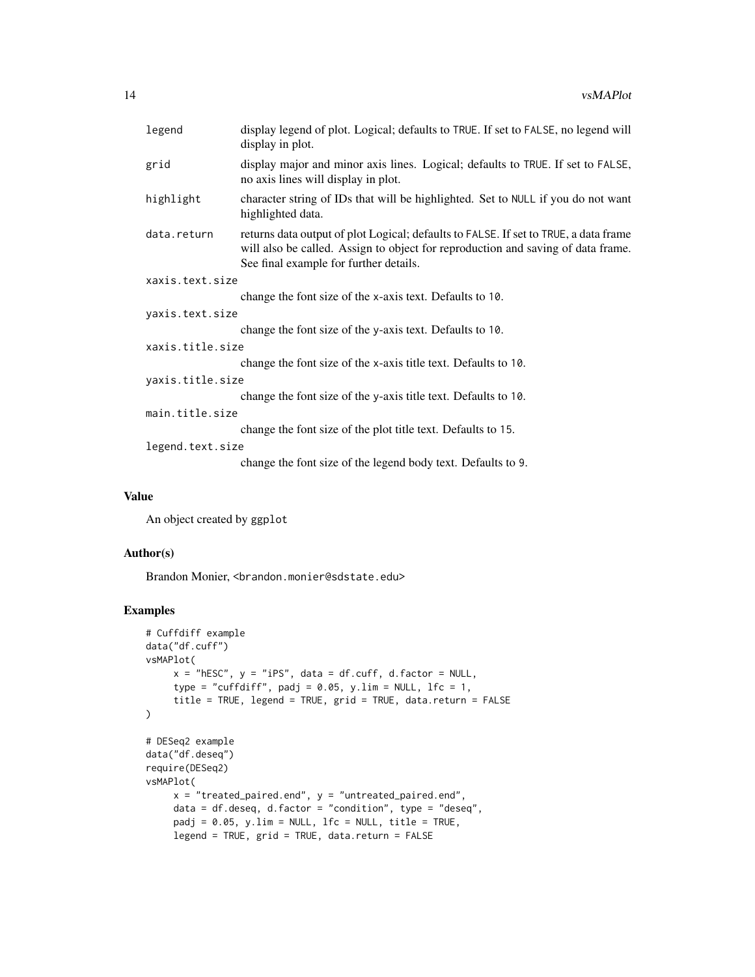|                  | legend          | display legend of plot. Logical; defaults to TRUE. If set to FALSE, no legend will<br>display in plot.                                                                                                             |
|------------------|-----------------|--------------------------------------------------------------------------------------------------------------------------------------------------------------------------------------------------------------------|
|                  | grid            | display major and minor axis lines. Logical; defaults to TRUE. If set to FALSE,<br>no axis lines will display in plot.                                                                                             |
|                  | highlight       | character string of IDs that will be highlighted. Set to NULL if you do not want<br>highlighted data.                                                                                                              |
|                  | data.return     | returns data output of plot Logical; defaults to FALSE. If set to TRUE, a data frame<br>will also be called. Assign to object for reproduction and saving of data frame.<br>See final example for further details. |
|                  | xaxis.text.size |                                                                                                                                                                                                                    |
|                  |                 | change the font size of the x-axis text. Defaults to 10.                                                                                                                                                           |
|                  | yaxis.text.size |                                                                                                                                                                                                                    |
|                  |                 | change the font size of the y-axis text. Defaults to 10.                                                                                                                                                           |
| xaxis.title.size |                 |                                                                                                                                                                                                                    |
|                  |                 | change the font size of the x-axis title text. Defaults to 10.                                                                                                                                                     |
| yaxis.title.size |                 |                                                                                                                                                                                                                    |
|                  |                 | change the font size of the y-axis title text. Defaults to 10.                                                                                                                                                     |
| main.title.size  |                 |                                                                                                                                                                                                                    |
|                  |                 | change the font size of the plot title text. Defaults to 15.                                                                                                                                                       |
| legend.text.size |                 |                                                                                                                                                                                                                    |
|                  |                 | change the font size of the legend body text. Defaults to 9.                                                                                                                                                       |
|                  |                 |                                                                                                                                                                                                                    |

#### Value

An object created by ggplot

#### Author(s)

Brandon Monier, <br />
strandon.monier@sdstate.edu>

```
# Cuffdiff example
data("df.cuff")
vsMAPlot(
     x = "hESC", y = "iPS", data = df.cuff, d.factor = NULL,
     type = "cuffdiff", padj = 0.05, y.lim = NULL, lfc = 1,
     title = TRUE, legend = TRUE, grid = TRUE, data.return = FALSE
\mathcal{L}# DESeq2 example
data("df.deseq")
require(DESeq2)
vsMAPlot(
     x = "treated\_paired.end", y = "untreated\_paired.end",data = df.deseq, d.factor = "condition", type = "deseq",
     padj = 0.05, y.lim = NULL, 1fc = NULL, title = TRUE,
     legend = TRUE, grid = TRUE, data.return = FALSE
```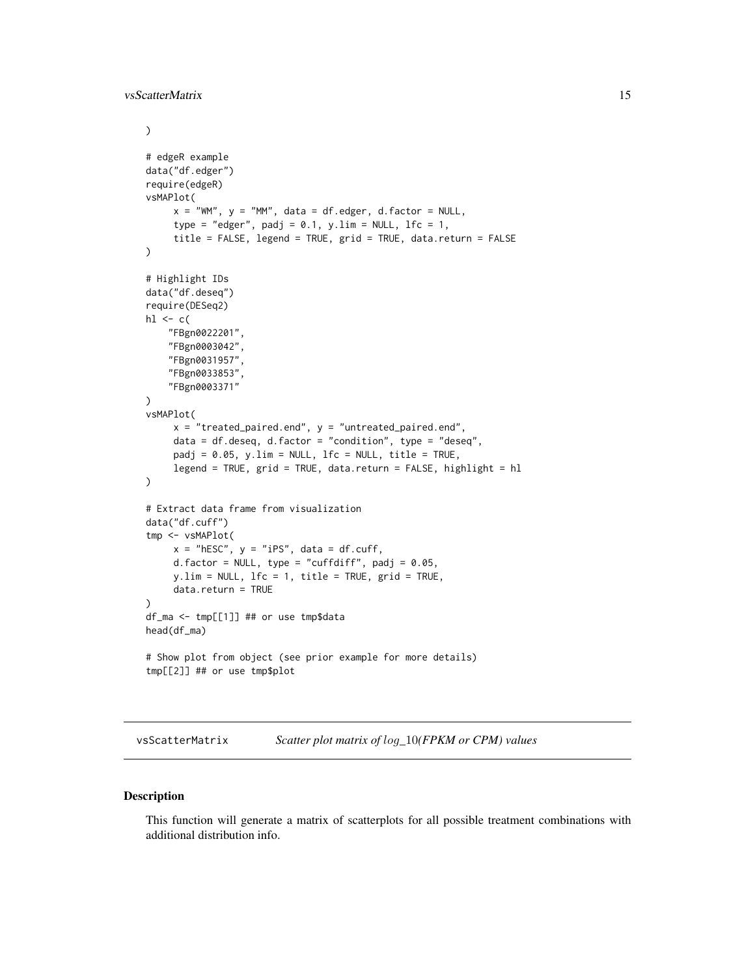<span id="page-14-0"></span>vsScatterMatrix 15

```
)
# edgeR example
data("df.edger")
require(edgeR)
vsMAPlot(
     x = "WM", y = "MM", data = df. edge, d.factor = NULL,type = "edger", padj = 0.1, y.lim = NULL, 1fc = 1,
     title = FALSE, legend = TRUE, grid = TRUE, data.return = FALSE
)
# Highlight IDs
data("df.deseq")
require(DESeq2)
h1 \leftarrow c("FBgn0022201",
    "FBgn0003042",
    "FBgn0031957",
    "FBgn0033853",
    "FBgn0003371"
\mathcal{L}vsMAPlot(
     x = "treated\_paired.end", y = "untreated\_paired.end",data = df.deseq, d.factor = "condition", type = "deseq",
     padj = 0.05, y.lim = NULL, 1fc = NULL, title = TRUE,
     legend = TRUE, grid = TRUE, data.return = FALSE, highlight = hl
)
# Extract data frame from visualization
data("df.cuff")
tmp <- vsMAPlot(
     x = "hEsc", y = "iPS", data = df.cuff,d.factor = NULL, type = "cuffdiff", padj = 0.05,
     y.lim = NULL, lfc = 1, title = TRUE, grid = TRUE,
     data.return = TRUE
\lambdadf_ma <- tmp[[1]] ## or use tmp$data
head(df_ma)
# Show plot from object (see prior example for more details)
tmp[[2]] ## or use tmp$plot
```
vsScatterMatrix *Scatter plot matrix of* log*\_*10*(FPKM or CPM) values*

#### Description

This function will generate a matrix of scatterplots for all possible treatment combinations with additional distribution info.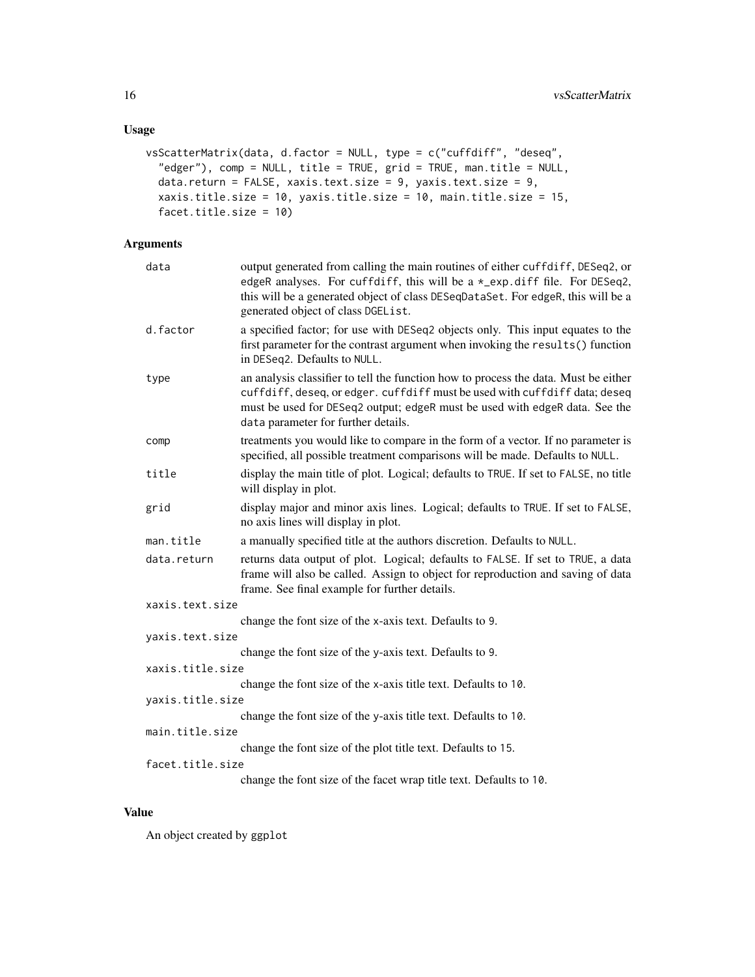```
vsScatterMatrix(data, d.factor = NULL, type = c("cuffdiff", "deseq",
  "edger"), comp = NULL, title = TRUE, grid = TRUE, man.title = NULL,
 data.return = FALSE, xaxis.text.size = 9, yaxis.text.size = 9,
 xaxis.title.size = 10, yaxis.title.size = 10, main.title.size = 15,
 facet.title.size = 10)
```
#### Arguments

| data             | output generated from calling the main routines of either cuffdiff, DESeq2, or<br>edgeR analyses. For cuffdiff, this will be a *_exp.diff file. For DESeq2,<br>this will be a generated object of class DESeqDataSet. For edgeR, this will be a<br>generated object of class DGEList.   |
|------------------|-----------------------------------------------------------------------------------------------------------------------------------------------------------------------------------------------------------------------------------------------------------------------------------------|
| d.factor         | a specified factor; for use with DESeq2 objects only. This input equates to the<br>first parameter for the contrast argument when invoking the results() function<br>in DESeq2. Defaults to NULL.                                                                                       |
| type             | an analysis classifier to tell the function how to process the data. Must be either<br>cuffdiff, deseq, or edger. cuffdiff must be used with cuffdiff data; deseq<br>must be used for DESeq2 output; edgeR must be used with edgeR data. See the<br>data parameter for further details. |
| comp             | treatments you would like to compare in the form of a vector. If no parameter is<br>specified, all possible treatment comparisons will be made. Defaults to NULL.                                                                                                                       |
| title            | display the main title of plot. Logical; defaults to TRUE. If set to FALSE, no title<br>will display in plot.                                                                                                                                                                           |
| grid             | display major and minor axis lines. Logical; defaults to TRUE. If set to FALSE,<br>no axis lines will display in plot.                                                                                                                                                                  |
| man.title        | a manually specified title at the authors discretion. Defaults to NULL.                                                                                                                                                                                                                 |
| data.return      | returns data output of plot. Logical; defaults to FALSE. If set to TRUE, a data<br>frame will also be called. Assign to object for reproduction and saving of data<br>frame. See final example for further details.                                                                     |
| xaxis.text.size  |                                                                                                                                                                                                                                                                                         |
|                  | change the font size of the x-axis text. Defaults to 9.                                                                                                                                                                                                                                 |
| yaxis.text.size  |                                                                                                                                                                                                                                                                                         |
|                  | change the font size of the y-axis text. Defaults to 9.                                                                                                                                                                                                                                 |
| xaxis.title.size |                                                                                                                                                                                                                                                                                         |
| yaxis.title.size | change the font size of the x-axis title text. Defaults to 10.                                                                                                                                                                                                                          |
|                  | change the font size of the y-axis title text. Defaults to 10.                                                                                                                                                                                                                          |
| main.title.size  |                                                                                                                                                                                                                                                                                         |
|                  | change the font size of the plot title text. Defaults to 15.                                                                                                                                                                                                                            |
| facet.title.size |                                                                                                                                                                                                                                                                                         |
|                  | change the font size of the facet wrap title text. Defaults to 10.                                                                                                                                                                                                                      |

#### Value

An object created by ggplot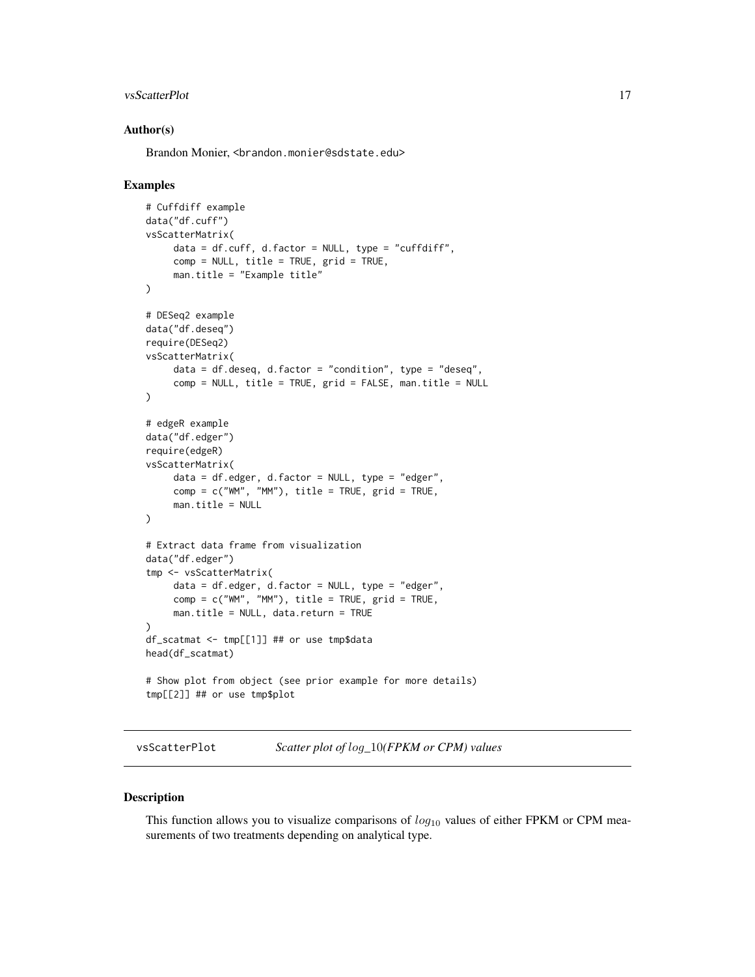#### <span id="page-16-0"></span>vsScatterPlot 17

#### Author(s)

Brandon Monier, <br andon.monier@sdstate.edu>

#### Examples

```
# Cuffdiff example
data("df.cuff")
vsScatterMatrix(
     data = df.cuff, d.factor = NULL, type = "cuffdiff",comp = NULL, title = TRUE, grid = TRUE,man.title = "Example title"
)
# DESeq2 example
data("df.deseq")
require(DESeq2)
vsScatterMatrix(
     data = df.deseq, d.factor = "condition", type = "descq",comp = NULL, title = TRUE, grid = FALSE, man.title = NULL
)
# edgeR example
data("df.edger")
require(edgeR)
vsScatterMatrix(
     data = df.edger, d.factor = NULL, type = "edger",
     comp = c("WM", "MM"), title = TRUE, grid = TRUE,
     man.title = NULL
)
# Extract data frame from visualization
data("df.edger")
tmp <- vsScatterMatrix(
     data = df.edger, d.factor = NULL, type = "edger",
     comp = c("WM", "MM"), title = TRUE, grid = TRUE,
     man.title = NULL, data.return = TRUE
)
df_scatmat <- tmp[[1]] ## or use tmp$data
head(df_scatmat)
# Show plot from object (see prior example for more details)
tmp[[2]] ## or use tmp$plot
```
vsScatterPlot *Scatter plot of* log*\_*10*(FPKM or CPM) values*

#### Description

This function allows you to visualize comparisons of  $log_{10}$  values of either FPKM or CPM measurements of two treatments depending on analytical type.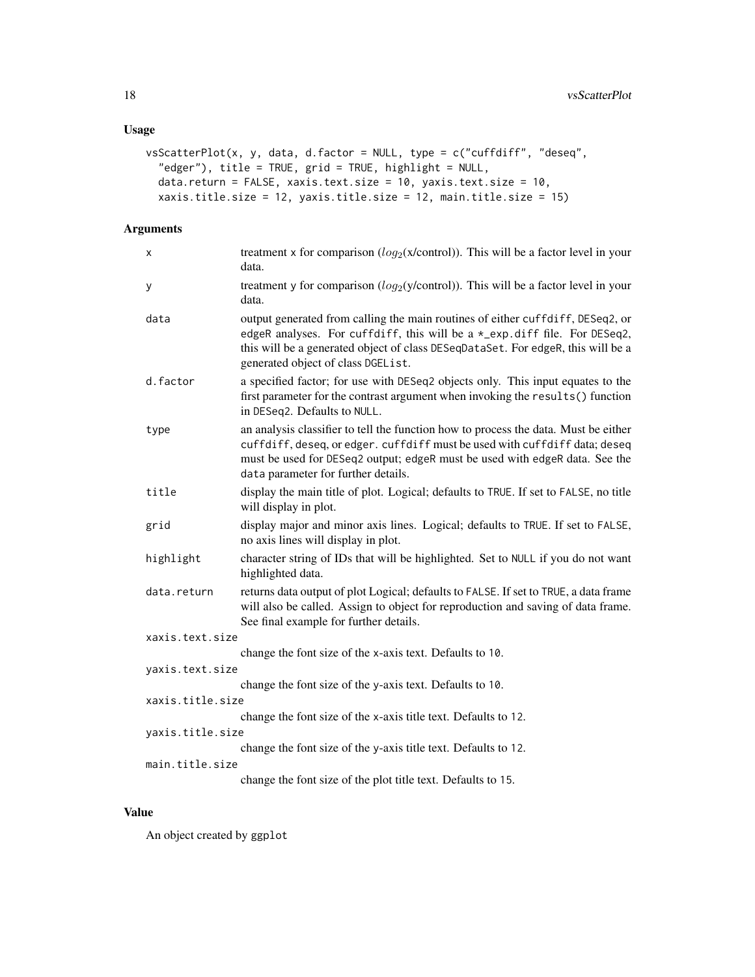```
vsScatterPlot(x, y, data, d.factor = NULL, type = c("cuffdiff", "deseq",
  "edger"), title = TRUE, grid = TRUE, highlight = NULL,
  data.return = FALSE, xaxis.text.size = 10, yaxis.text.size = 10,
 xaxis.title.size = 12, yaxis.title.size = 12, main.title.size = 15)
```
#### Arguments

| x                                                                                 | treatment x for comparison ( $log_2(x/control)$ ). This will be a factor level in your<br>data.                                                                                                                                                                                         |  |
|-----------------------------------------------------------------------------------|-----------------------------------------------------------------------------------------------------------------------------------------------------------------------------------------------------------------------------------------------------------------------------------------|--|
| У                                                                                 | treatment y for comparison $(log_2(y/control))$ . This will be a factor level in your<br>data.                                                                                                                                                                                          |  |
| data                                                                              | output generated from calling the main routines of either cuffdiff, DESeq2, or<br>edgeR analyses. For cuffdiff, this will be a *_exp.diff file. For DESeq2,<br>this will be a generated object of class DESeqDataSet. For edgeR, this will be a<br>generated object of class DGEList.   |  |
| d.factor                                                                          | a specified factor; for use with DESeq2 objects only. This input equates to the<br>first parameter for the contrast argument when invoking the results() function<br>in DESeq2. Defaults to NULL.                                                                                       |  |
| type                                                                              | an analysis classifier to tell the function how to process the data. Must be either<br>cuffdiff, deseq, or edger. cuffdiff must be used with cuffdiff data; deseq<br>must be used for DESeq2 output; edgeR must be used with edgeR data. See the<br>data parameter for further details. |  |
| title                                                                             | display the main title of plot. Logical; defaults to TRUE. If set to FALSE, no title<br>will display in plot.                                                                                                                                                                           |  |
| grid                                                                              | display major and minor axis lines. Logical; defaults to TRUE. If set to FALSE,<br>no axis lines will display in plot.                                                                                                                                                                  |  |
| highlight                                                                         | character string of IDs that will be highlighted. Set to NULL if you do not want<br>highlighted data.                                                                                                                                                                                   |  |
| data.return                                                                       | returns data output of plot Logical; defaults to FALSE. If set to TRUE, a data frame<br>will also be called. Assign to object for reproduction and saving of data frame.<br>See final example for further details.                                                                      |  |
| xaxis.text.size                                                                   |                                                                                                                                                                                                                                                                                         |  |
|                                                                                   | change the font size of the x-axis text. Defaults to 10.                                                                                                                                                                                                                                |  |
| yaxis.text.size                                                                   |                                                                                                                                                                                                                                                                                         |  |
|                                                                                   | change the font size of the y-axis text. Defaults to 10.                                                                                                                                                                                                                                |  |
| xaxis.title.size                                                                  |                                                                                                                                                                                                                                                                                         |  |
|                                                                                   | change the font size of the x-axis title text. Defaults to 12.                                                                                                                                                                                                                          |  |
| yaxis.title.size                                                                  |                                                                                                                                                                                                                                                                                         |  |
| change the font size of the y-axis title text. Defaults to 12.<br>main.title.size |                                                                                                                                                                                                                                                                                         |  |
|                                                                                   | change the font size of the plot title text. Defaults to 15.                                                                                                                                                                                                                            |  |
|                                                                                   |                                                                                                                                                                                                                                                                                         |  |

#### Value

An object created by ggplot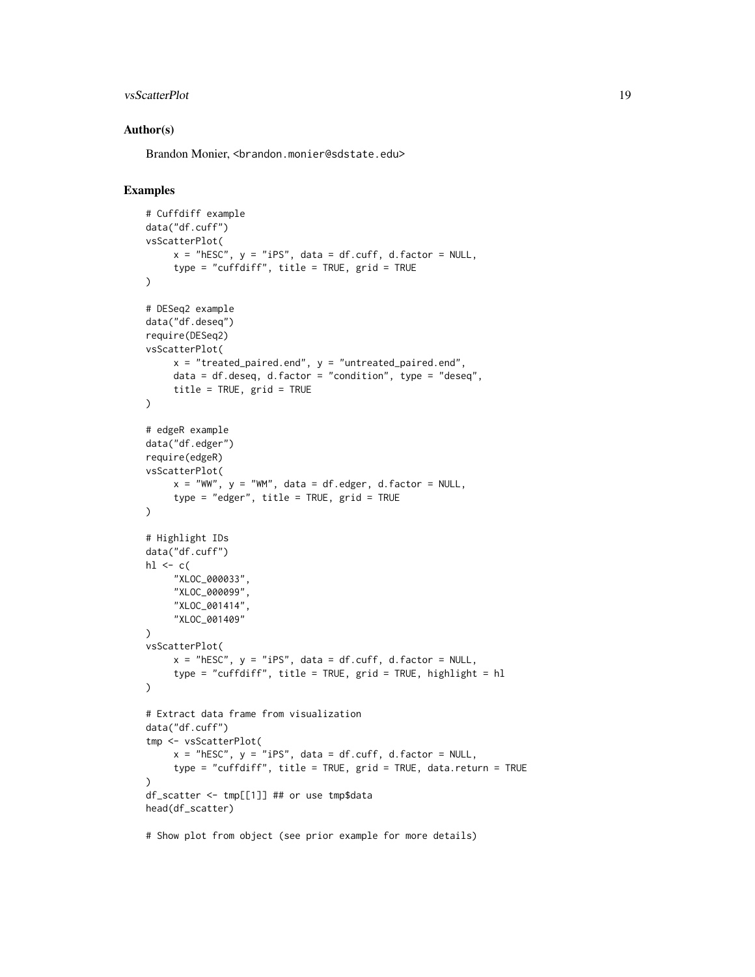#### vsScatterPlot 19

#### Author(s)

Brandon Monier, <br andon.monier@sdstate.edu>

```
# Cuffdiff example
data("df.cuff")
vsScatterPlot(
     x = "hESC", y = "iPS", data = df.cuff, d.factor = NULL,
     type = "cuffdiff", title = TRUE, grid = TRUE
\lambda# DESeq2 example
data("df.deseq")
require(DESeq2)
vsScatterPlot(
     x = "treated_paired.end", y = "untreated_paired.end",
     data = df.deseq, d.factor = "condition", type = "deseq",title = TRUE, grid = TRUE
)
# edgeR example
data("df.edger")
require(edgeR)
vsScatterPlot(
     x = "WW", y = "WM", data = df. edge, d.factor = NULL,type = "edger", title = TRUE, grid = TRUE
\lambda# Highlight IDs
data("df.cuff")
hl \leq c(
     "XLOC_000033",
     "XLOC_000099",
     "XLOC_001414",
     "XLOC_001409"
)
vsScatterPlot(
    x = "hESC", y = "iPS", data = df.cuff, d.factor = NULL,
     type = "cuffdiff", title = TRUE, grid = TRUE, highlight = hl
\lambda# Extract data frame from visualization
data("df.cuff")
tmp <- vsScatterPlot(
     x = "hESC", y = "iPS", data = df.cuff, d.factor = NULL,
     type = "cuffdiff", title = TRUE, grid = TRUE, data.return = TRUE
)
df_scatter <- tmp[[1]] ## or use tmp$data
head(df_scatter)
# Show plot from object (see prior example for more details)
```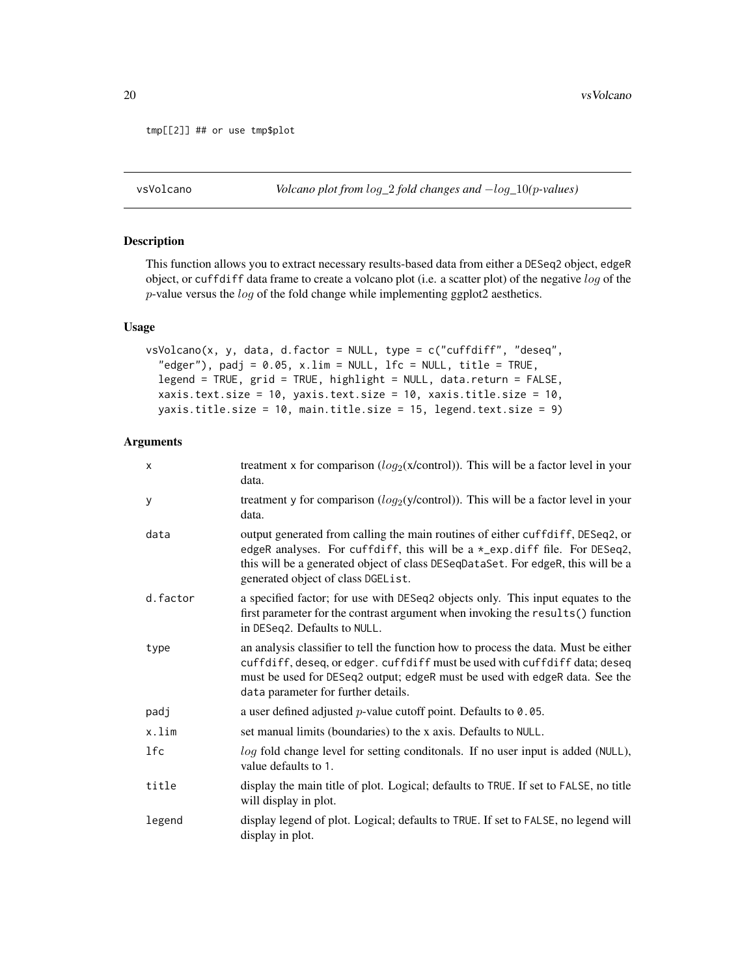```
tmp[[2]] ## or use tmp$plot
```
vsVolcano *Volcano plot from* log*\_*2 *fold changes and* −log*\_*10*(*p*-values)*

#### Description

This function allows you to extract necessary results-based data from either a DESeq2 object, edgeR object, or cuffdiff data frame to create a volcano plot (i.e. a scatter plot) of the negative log of the p-value versus the log of the fold change while implementing ggplot2 aesthetics.

#### Usage

```
vsVolcano(x, y, data, d.factor = NULL, type = c("cuffdiff", "deseq",
  "edger"), padj = 0.05, x.lim = NULL, lfc = NULL, title = TRUE,
  legend = TRUE, grid = TRUE, highlight = NULL, data.return = FALSE,
 xaxis.text.size = 10, yaxis.text.size = 10, xaxis.title.size = 10,
 yaxis.title.size = 10, main.title.size = 15, legend.text.size = 9)
```

| X        | treatment x for comparison $(log_2(x/control))$ . This will be a factor level in your<br>data.                                                                                                                                                                                          |
|----------|-----------------------------------------------------------------------------------------------------------------------------------------------------------------------------------------------------------------------------------------------------------------------------------------|
| У        | treatment y for comparison $(log_2(y/control))$ . This will be a factor level in your<br>data.                                                                                                                                                                                          |
| data     | output generated from calling the main routines of either cuffdiff, DESeq2, or<br>edgeR analyses. For cuffdiff, this will be a *_exp.diff file. For DESeq2,<br>this will be a generated object of class DESeqDataSet. For edgeR, this will be a<br>generated object of class DGEList.   |
| d.factor | a specified factor; for use with DESeq2 objects only. This input equates to the<br>first parameter for the contrast argument when invoking the results() function<br>in DESeq2. Defaults to NULL.                                                                                       |
| type     | an analysis classifier to tell the function how to process the data. Must be either<br>cuffdiff, deseq, or edger. cuffdiff must be used with cuffdiff data; deseq<br>must be used for DESeq2 output; edgeR must be used with edgeR data. See the<br>data parameter for further details. |
| padj     | a user defined adjusted $p$ -value cutoff point. Defaults to 0.05.                                                                                                                                                                                                                      |
| x.lim    | set manual limits (boundaries) to the x axis. Defaults to NULL.                                                                                                                                                                                                                         |
| lfc      | log fold change level for setting conditionals. If no user input is added (NULL),<br>value defaults to 1.                                                                                                                                                                               |
| title    | display the main title of plot. Logical; defaults to TRUE. If set to FALSE, no title<br>will display in plot.                                                                                                                                                                           |
| legend   | display legend of plot. Logical; defaults to TRUE. If set to FALSE, no legend will<br>display in plot.                                                                                                                                                                                  |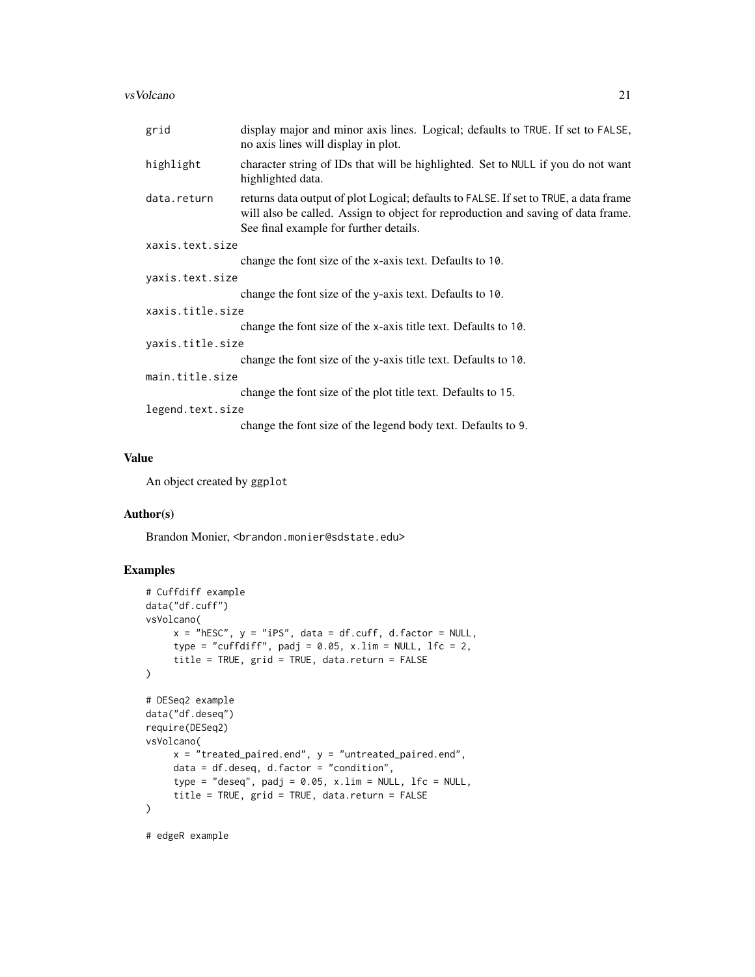#### vsVolcano 21

| grid             | display major and minor axis lines. Logical; defaults to TRUE. If set to FALSE,<br>no axis lines will display in plot.                                                                                             |  |
|------------------|--------------------------------------------------------------------------------------------------------------------------------------------------------------------------------------------------------------------|--|
| highlight        | character string of IDs that will be highlighted. Set to NULL if you do not want<br>highlighted data.                                                                                                              |  |
| data.return      | returns data output of plot Logical; defaults to FALSE. If set to TRUE, a data frame<br>will also be called. Assign to object for reproduction and saving of data frame.<br>See final example for further details. |  |
| xaxis.text.size  |                                                                                                                                                                                                                    |  |
|                  | change the font size of the x-axis text. Defaults to 10.                                                                                                                                                           |  |
| yaxis.text.size  |                                                                                                                                                                                                                    |  |
|                  | change the font size of the y-axis text. Defaults to 10.                                                                                                                                                           |  |
| xaxis.title.size |                                                                                                                                                                                                                    |  |
|                  | change the font size of the x-axis title text. Defaults to 10.                                                                                                                                                     |  |
| yaxis.title.size |                                                                                                                                                                                                                    |  |
|                  | change the font size of the y-axis title text. Defaults to 10.                                                                                                                                                     |  |
| main.title.size  |                                                                                                                                                                                                                    |  |
|                  | change the font size of the plot title text. Defaults to 15.                                                                                                                                                       |  |
| legend.text.size |                                                                                                                                                                                                                    |  |
|                  | change the font size of the legend body text. Defaults to 9.                                                                                                                                                       |  |
|                  |                                                                                                                                                                                                                    |  |

#### Value

An object created by ggplot

#### Author(s)

Brandon Monier, <br />brandon.monier@sdstate.edu>

```
# Cuffdiff example
data("df.cuff")
vsVolcano(
     x = "hESC", y = "iPS", data = df.cuff, d.factor = NULL,
     type = "cuffdiff", padj = 0.05, x.lim = NULL, lfc = 2,
     title = TRUE, grid = TRUE, data.return = FALSE
\lambda# DESeq2 example
data("df.deseq")
require(DESeq2)
vsVolcano(
     x = "treated_paired.end", y = "untreated_paired.end",
     data = df.deseq, d.factor = "condition",
     type = "deseq", padj = 0.05, x.lim = NULL, 1fc = NULL,
     title = TRUE, grid = TRUE, data.return = FALSE
\mathcal{L}# edgeR example
```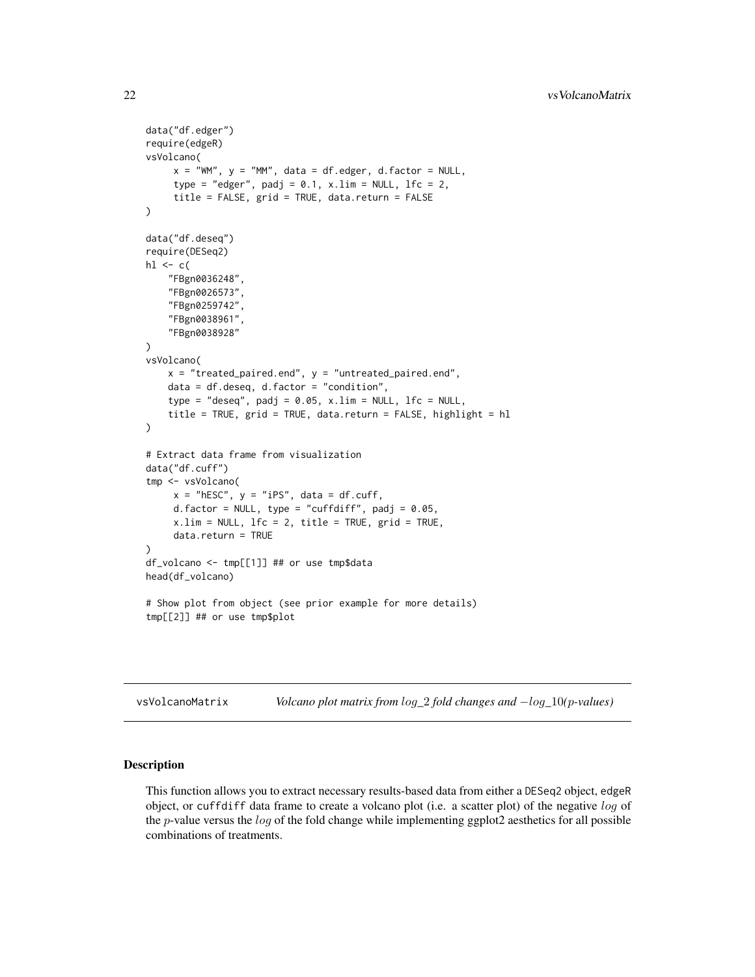```
data("df.edger")
require(edgeR)
vsVolcano(
     x = "WM", y = "MM", data = df. edge, d.factor = NULL,type = "edger", padj = 0.1, x.lim = NULL, lfc = 2,
     title = FALSE, grid = TRUE, data.return = FALSE
)
data("df.deseq")
require(DESeq2)
hl \leq c(
    "FBgn0036248",
    "FBgn0026573",
    "FBgn0259742",
    "FBgn0038961",
    "FBgn0038928"
)
vsVolcano(
    x = "treated_paired.end", y = "untreated_paired.end",
    data = df.deseq, d.factor = "condition",
    type = "deseq", padj = 0.05, x.lim = NULL, lfc = NULL,
    title = TRUE, grid = TRUE, data.return = FALSE, highlight = hl
\mathcal{L}# Extract data frame from visualization
data("df.cuff")
tmp <- vsVolcano(
     x = "hEsc", y = "iPS", data = df.cuff,d.factor = NULL, type = "cuffdiff", padj = 0.05,
     x.lim = NULL, 1fc = 2, title = TRUE, grid = TRUE,
     data.return = TRUE
\mathcal{L}df_volcano <- tmp[[1]] ## or use tmp$data
head(df_volcano)
# Show plot from object (see prior example for more details)
tmp[[2]] ## or use tmp$plot
```
vsVolcanoMatrix *Volcano plot matrix from* log*\_*2 *fold changes and* −log*\_*10*(*p*-values)*

#### Description

This function allows you to extract necessary results-based data from either a DESeq2 object, edgeR object, or cuffdiff data frame to create a volcano plot (i.e. a scatter plot) of the negative log of the  $p$ -value versus the  $log$  of the fold change while implementing ggplot2 aesthetics for all possible combinations of treatments.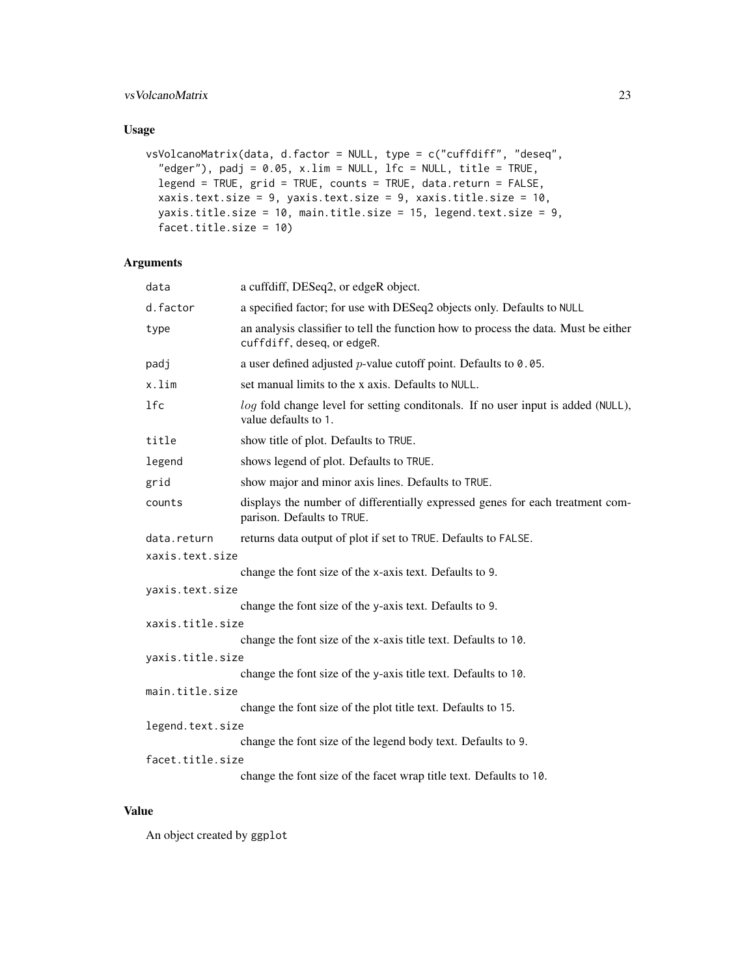#### vsVolcanoMatrix 23

#### Usage

```
vsVolcanoMatrix(data, d.factor = NULL, type = c("cuffdiff", "deseq",
  "edger"), padj = 0.05, x.lim = NULL, lfc = NULL, title = TRUE,
  legend = TRUE, grid = TRUE, counts = TRUE, data.return = FALSE,
  xaxis.text.size = 9, yaxis.text.size = 9, xaxis.title.size = 10,
 yaxis.title.size = 10, main.title.size = 15, legend.text.size = 9,
  facet.title.size = 10)
```
#### Arguments

| data             | a cuffdiff, DESeq2, or edgeR object.                                                                              |  |
|------------------|-------------------------------------------------------------------------------------------------------------------|--|
| d.factor         | a specified factor; for use with DESeq2 objects only. Defaults to NULL                                            |  |
| type             | an analysis classifier to tell the function how to process the data. Must be either<br>cuffdiff, deseq, or edgeR. |  |
| padj             | a user defined adjusted $p$ -value cutoff point. Defaults to 0.05.                                                |  |
| x.lim            | set manual limits to the x axis. Defaults to NULL.                                                                |  |
| 1fc              | log fold change level for setting conditonals. If no user input is added (NULL),<br>value defaults to 1.          |  |
| title            | show title of plot. Defaults to TRUE.                                                                             |  |
| legend           | shows legend of plot. Defaults to TRUE.                                                                           |  |
| grid             | show major and minor axis lines. Defaults to TRUE.                                                                |  |
| counts           | displays the number of differentially expressed genes for each treatment com-<br>parison. Defaults to TRUE.       |  |
| data.return      | returns data output of plot if set to TRUE. Defaults to FALSE.                                                    |  |
| xaxis.text.size  |                                                                                                                   |  |
|                  | change the font size of the x-axis text. Defaults to 9.                                                           |  |
| yaxis.text.size  |                                                                                                                   |  |
|                  | change the font size of the y-axis text. Defaults to 9.                                                           |  |
| xaxis.title.size |                                                                                                                   |  |
|                  | change the font size of the x-axis title text. Defaults to 10.                                                    |  |
| yaxis.title.size |                                                                                                                   |  |
|                  | change the font size of the y-axis title text. Defaults to 10.                                                    |  |
| main.title.size  | change the font size of the plot title text. Defaults to 15.                                                      |  |
| legend.text.size |                                                                                                                   |  |
|                  | change the font size of the legend body text. Defaults to 9.                                                      |  |
| facet.title.size |                                                                                                                   |  |
|                  | change the font size of the facet wrap title text. Defaults to 10.                                                |  |
|                  |                                                                                                                   |  |

#### Value

An object created by ggplot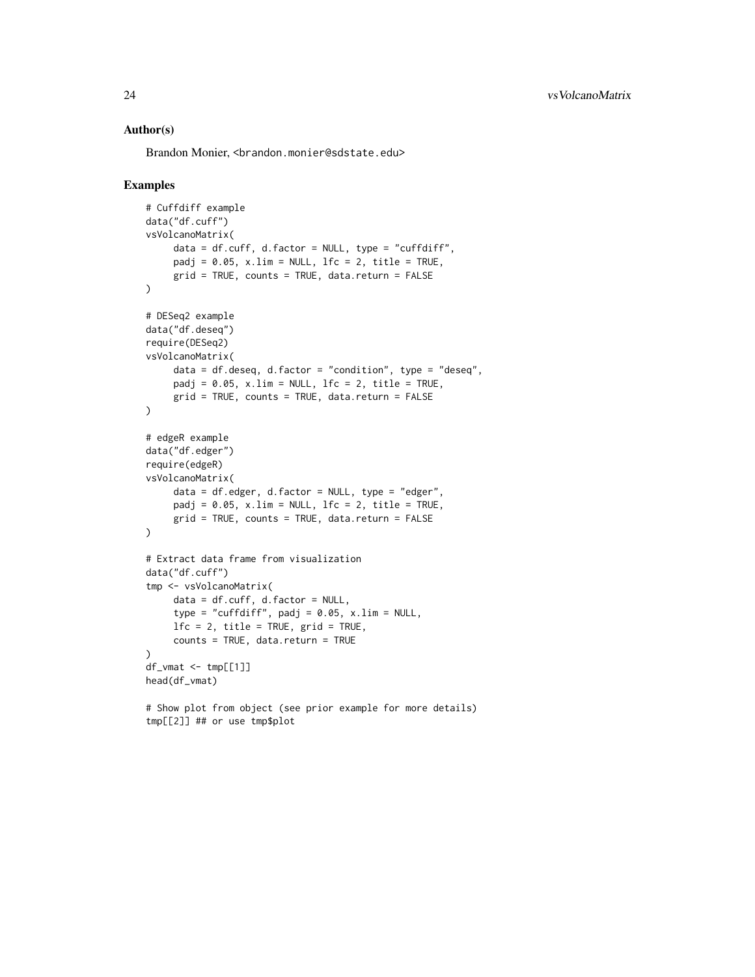#### Author(s)

Brandon Monier, <br andon.monier@sdstate.edu>

```
# Cuffdiff example
data("df.cuff")
vsVolcanoMatrix(
     data = df.cuff, d.factor = NULL, type = "cuffdiff",padj = 0.05, x.lim = NULL, 1fc = 2, title = TRUE,
     grid = TRUE, counts = TRUE, data.return = FALSE
)
# DESeq2 example
data("df.deseq")
require(DESeq2)
vsVolcanoMatrix(
     data = df.deseq, d.factor = "condition", type = "deseq",
     padj = 0.05, x.lim = NULL, lfc = 2, title = TRUE,
     grid = TRUE, counts = TRUE, data.return = FALSE
)
# edgeR example
data("df.edger")
require(edgeR)
vsVolcanoMatrix(
     data = df.edger, d.factor = NULL, type = "edger",
     padj = 0.05, x.lim = NULL, lfc = 2, title = TRUE,
     grid = TRUE, counts = TRUE, data.return = FALSE
\lambda# Extract data frame from visualization
data("df.cuff")
tmp <- vsVolcanoMatrix(
     data = df.cuff, d.factor = NULL,
     type = "cuffdiff", padj = 0.05, x.lim = NULL,
     1fc = 2, title = TRUE, grid = TRUE,
     counts = TRUE, data.return = TRUE
)
df_\text{wmat} < -\text{tmp}[1]]head(df_vmat)
# Show plot from object (see prior example for more details)
```
tmp[[2]] ## or use tmp\$plot